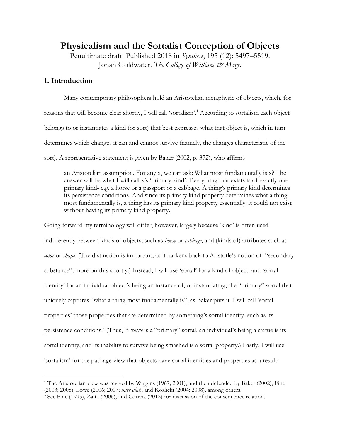**Physicalism and the Sortalist Conception of Objects**

Penultimate draft. Published 2018 in *Synthese*, 195 (12): 5497–5519. Jonah Goldwater. The College of William & Mary.

## **1. Introduction**

Many contemporary philosophers hold an Aristotelian metaphysic of objects, which, for reasons that will become clear shortly, I will call 'sortalism'.1 According to sortalism each object belongs to or instantiates a kind (or sort) that best expresses what that object is, which in turn determines which changes it can and cannot survive (namely, the changes characteristic of the sort). A representative statement is given by Baker (2002, p. 372), who affirms

an Aristotelian assumption. For any x, we can ask: What most fundamentally is x? The answer will be what I will call x's 'primary kind'. Everything that exists is of exactly one primary kind- e.g. a horse or a passport or a cabbage. A thing's primary kind determines its persistence conditions. And since its primary kind property determines what a thing most fundamentally is, a thing has its primary kind property essentially: it could not exist without having its primary kind property.

Going forward my terminology will differ, however, largely because 'kind' is often used indifferently between kinds of objects, such as *horse* or *cabbage*, and (kinds of) attributes such as *color* or *shape*. (The distinction is important, as it harkens back to Aristotle's notion of "secondary substance"; more on this shortly.) Instead, I will use 'sortal' for a kind of object, and 'sortal identity' for an individual object's being an instance of, or instantiating, the "primary" sortal that uniquely captures "what a thing most fundamentally is", as Baker puts it. I will call 'sortal properties' those properties that are determined by something's sortal identity, such as its persistence conditions.2 (Thus, if *statue* is a "primary" sortal, an individual's being a statue is its sortal identity, and its inability to survive being smashed is a sortal property.) Lastly, I will use 'sortalism' for the package view that objects have sortal identities and properties as a result;

<sup>&</sup>lt;sup>1</sup> The Aristotelian view was revived by Wiggins (1967; 2001), and then defended by Baker (2002), Fine (2003; 2008), Lowe (2006; 2007; *inter alia*), and Koslicki (2004; 2008), among others. 2 See Fine (1995), Zalta (2006), and Correia (2012) for discussion of the consequence relation.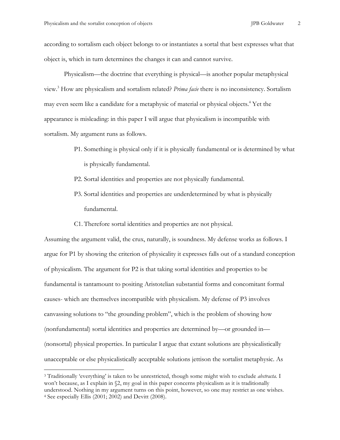according to sortalism each object belongs to or instantiates a sortal that best expresses what that object is, which in turn determines the changes it can and cannot survive.

Physicalism—the doctrine that everything is physical—is another popular metaphysical view.3 How are physicalism and sortalism related? *Prima facie* there is no inconsistency. Sortalism may even seem like a candidate for a metaphysic of material or physical objects.<sup>4</sup> Yet the appearance is misleading: in this paper I will argue that physicalism is incompatible with sortalism. My argument runs as follows.

- P1. Something is physical only if it is physically fundamental or is determined by what is physically fundamental.
- P2. Sortal identities and properties are not physically fundamental.
- P3. Sortal identities and properties are underdetermined by what is physically fundamental.
- C1. Therefore sortal identities and properties are not physical.

Assuming the argument valid, the crux, naturally, is soundness. My defense works as follows. I argue for P1 by showing the criterion of physicality it expresses falls out of a standard conception of physicalism. The argument for P2 is that taking sortal identities and properties to be fundamental is tantamount to positing Aristotelian substantial forms and concomitant formal causes- which are themselves incompatible with physicalism. My defense of P3 involves canvassing solutions to "the grounding problem", which is the problem of showing how (nonfundamental) sortal identities and properties are determined by—or grounded in— (nonsortal) physical properties. In particular I argue that extant solutions are physicalistically unacceptable or else physicalistically acceptable solutions jettison the sortalist metaphysic. As

<sup>3</sup> Traditionally 'everything' is taken to be unrestricted, though some might wish to exclude *abstracta.* I won't because, as I explain in §2, my goal in this paper concerns physicalism as it is traditionally understood. Nothing in my argument turns on this point, however, so one may restrict as one wishes. <sup>4</sup> See especially Ellis (2001; 2002) and Devitt (2008).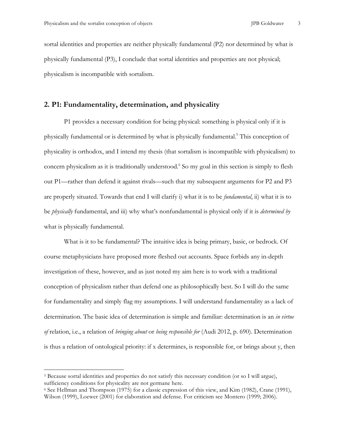sortal identities and properties are neither physically fundamental (P2) nor determined by what is physically fundamental (P3), I conclude that sortal identities and properties are not physical; physicalism is incompatible with sortalism.

### **2. P1: Fundamentality, determination, and physicality**

P1 provides a necessary condition for being physical: something is physical only if it is physically fundamental or is determined by what is physically fundamental.<sup>5</sup> This conception of physicality is orthodox, and I intend my thesis (that sortalism is incompatible with physicalism) to concern physicalism as it is traditionally understood.<sup>6</sup> So my goal in this section is simply to flesh out P1—rather than defend it against rivals—such that my subsequent arguments for P2 and P3 are properly situated. Towards that end I will clarify i) what it is to be *fundamental*, ii) what it is to be *physically* fundamental, and iii) why what's nonfundamental is physical only if it is *determined by* what is physically fundamental.

What is it to be fundamental? The intuitive idea is being primary, basic, or bedrock. Of course metaphysicians have proposed more fleshed out accounts. Space forbids any in-depth investigation of these, however, and as just noted my aim here is to work with a traditional conception of physicalism rather than defend one as philosophically best. So I will do the same for fundamentality and simply flag my assumptions. I will understand fundamentality as a lack of determination. The basic idea of determination is simple and familiar: determination is an *in virtue of* relation, i.e., a relation of *bringing about* or *being responsible for* (Audi 2012, p. 690). Determination is thus a relation of ontological priority: if x determines, is responsible for, or brings about y, then

<sup>5</sup> Because sortal identities and properties do not satisfy this necessary condition (or so I will argue), sufficiency conditions for physicality are not germane here.

<sup>6</sup> See Hellman and Thompson (1975) for a classic expression of this view, and Kim (1982), Crane (1991), Wilson (1999), Loewer (2001) for elaboration and defense. For criticism see Montero (1999; 2006).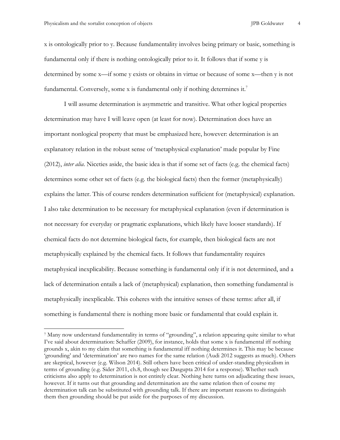x is ontologically prior to y. Because fundamentality involves being primary or basic, something is fundamental only if there is nothing ontologically prior to it. It follows that if some y is determined by some x—if some y exists or obtains in virtue or because of some x—then y is not fundamental. Conversely, some x is fundamental only if nothing determines it.<sup>7</sup>

I will assume determination is asymmetric and transitive. What other logical properties determination may have I will leave open (at least for now). Determination does have an important nonlogical property that must be emphasized here, however: determination is an explanatory relation in the robust sense of 'metaphysical explanation' made popular by Fine (2012), *inter alia*. Niceties aside, the basic idea is that if some set of facts (e.g. the chemical facts) determines some other set of facts (e.g. the biological facts) then the former (metaphysically) explains the latter. This of course renders determination sufficient for (metaphysical) explanation. I also take determination to be necessary for metaphysical explanation (even if determination is not necessary for everyday or pragmatic explanations, which likely have looser standards). If chemical facts do not determine biological facts, for example, then biological facts are not metaphysically explained by the chemical facts. It follows that fundamentality requires metaphysical inexplicability. Because something is fundamental only if it is not determined, and a lack of determination entails a lack of (metaphysical) explanation, then something fundamental is metaphysically inexplicable. This coheres with the intuitive senses of these terms: after all, if something is fundamental there is nothing more basic or fundamental that could explain it.

<sup>7</sup> Many now understand fundamentality in terms of "grounding", a relation appearing quite similar to what I've said about determination: Schaffer (2009), for instance, holds that some x is fundamental iff nothing grounds x, akin to my claim that something is fundamental iff nothing determines it. This may be because 'grounding' and 'determination' are two names for the same relation (Audi 2012 suggests as much). Others are skeptical, however (e.g. Wilson 2014). Still others have been critical of under-standing physicalism in terms of grounding (e.g. Sider 2011, ch.8, though see Dasgupta 2014 for a response). Whether such criticisms also apply to determination is not entirely clear. Nothing here turns on adjudicating these issues, however. If it turns out that grounding and determination are the same relation then of course my determination talk can be substituted with grounding talk. If there are important reasons to distinguish them then grounding should be put aside for the purposes of my discussion.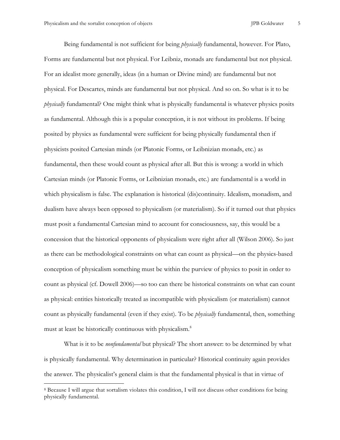Being fundamental is not sufficient for being *physically* fundamental, however. For Plato, Forms are fundamental but not physical. For Leibniz, monads are fundamental but not physical. For an idealist more generally, ideas (in a human or Divine mind) are fundamental but not physical. For Descartes, minds are fundamental but not physical. And so on. So what is it to be *physically* fundamental? One might think what is physically fundamental is whatever physics posits as fundamental. Although this is a popular conception, it is not without its problems. If being posited by physics as fundamental were sufficient for being physically fundamental then if physicists posited Cartesian minds (or Platonic Forms, or Leibnizian monads, etc.) as fundamental, then these would count as physical after all. But this is wrong: a world in which Cartesian minds (or Platonic Forms, or Leibnizian monads, etc.) are fundamental is a world in which physicalism is false. The explanation is historical (dis)continuity. Idealism, monadism, and dualism have always been opposed to physicalism (or materialism). So if it turned out that physics must posit a fundamental Cartesian mind to account for consciousness, say, this would be a concession that the historical opponents of physicalism were right after all (Wilson 2006). So just as there can be methodological constraints on what can count as physical—on the physics-based conception of physicalism something must be within the purview of physics to posit in order to count as physical (cf. Dowell 2006)—so too can there be historical constraints on what can count as physical: entities historically treated as incompatible with physicalism (or materialism) cannot count as physically fundamental (even if they exist). To be *physically* fundamental, then, something must at least be historically continuous with physicalism.<sup>8</sup>

What is it to be *nonfundamental* but physical? The short answer: to be determined by what is physically fundamental. Why determination in particular? Historical continuity again provides the answer. The physicalist's general claim is that the fundamental physical is that in virtue of

<sup>8</sup> Because I will argue that sortalism violates this condition, I will not discuss other conditions for being physically fundamental.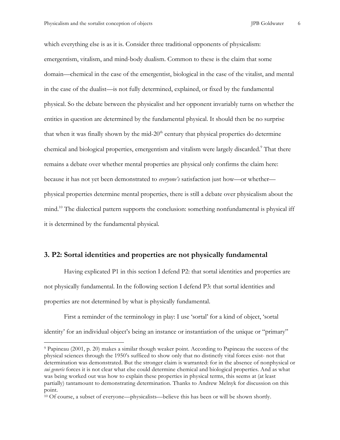which everything else is as it is. Consider three traditional opponents of physicalism: emergentism, vitalism, and mind-body dualism. Common to these is the claim that some domain—chemical in the case of the emergentist, biological in the case of the vitalist, and mental in the case of the dualist—is not fully determined, explained, or fixed by the fundamental physical. So the debate between the physicalist and her opponent invariably turns on whether the entities in question are determined by the fundamental physical. It should then be no surprise that when it was finally shown by the mid- $20<sup>th</sup>$  century that physical properties do determine chemical and biological properties, emergentism and vitalism were largely discarded.<sup>9</sup> That there remains a debate over whether mental properties are physical only confirms the claim here: because it has not yet been demonstrated to *everyone's* satisfaction just how—or whether physical properties determine mental properties, there is still a debate over physicalism about the mind.<sup>10</sup> The dialectical pattern supports the conclusion: something nonfundamental is physical iff it is determined by the fundamental physical.

### **3. P2: Sortal identities and properties are not physically fundamental**

Having explicated P1 in this section I defend P2: that sortal identities and properties are not physically fundamental. In the following section I defend P3: that sortal identities and properties are not determined by what is physically fundamental.

First a reminder of the terminology in play: I use 'sortal' for a kind of object, 'sortal identity' for an individual object's being an instance or instantiation of the unique or "primary"

<sup>9</sup> Papineau (2001, p. 20) makes a similar though weaker point. According to Papineau the success of the physical sciences through the 1950's sufficed to show only that no distinctly vital forces exist- not that determination was demonstrated. But the stronger claim is warranted: for in the absence of nonphysical or *sui generis* forces it is not clear what else could determine chemical and biological properties. And as what was being worked out was how to explain these properties in physical terms, this seems at (at least partially) tantamount to demonstrating determination. Thanks to Andrew Melnyk for discussion on this point.

<sup>10</sup> Of course, a subset of everyone—physicalists—believe this has been or will be shown shortly.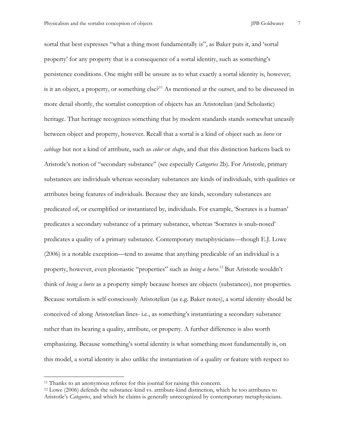sortal that best expresses "what a thing most fundamentally is", as Baker puts it, and 'sortal property' for any property that is a consequence of a sortal identity, such as something's persistence conditions. One might still be unsure as to what exactly a sortal identity is, however; is it an object, a property, or something else?<sup>11</sup> As mentioned at the outset, and to be discussed in more detail shortly, the sortalist conception of objects has an Aristotelian (and Scholastic) heritage. That heritage recognizes something that by modern standards stands somewhat uneasily between object and property, however. Recall that a sortal is a kind of object such as *horse* or *cabbage* but not a kind of attribute, such as *color* or *shape*, and that this distinction harkens back to Aristotle's notion of "secondary substance" (see especially *Categories* 2b). For Aristotle, primary substances are individuals whereas secondary substances are kinds of individuals, with qualities or attributes being features of individuals. Because they are kinds, secondary substances are predicated of, or exemplified or instantiated by, individuals. For example, 'Socrates is a human' predicates a secondary substance of a primary substance, whereas 'Socrates is snub-nosed' predicates a quality of a primary substance. Contemporary metaphysicians—though E.J. Lowe (2006) is a notable exception—tend to assume that anything predicable of an individual is a property, however, even pleonastic "properties" such as *being a horse*. <sup>12</sup> But Aristotle wouldn't think of *being a horse* as a property simply because horses are objects (substances), not properties. Because sortalism is self-consciously Aristotelian (as e.g. Baker notes), a sortal identity should be conceived of along Aristotelian lines- i.e., as something's instantiating a secondary substance rather than its bearing a quality, attribute, or property. A further difference is also worth emphasizing. Because something's sortal identity is what something most fundamentally is, on this model, a sortal identity is also unlike the instantiation of a quality or feature with respect to

<sup>11</sup> Thanks to an anonymous referee for this journal for raising this concern.

<sup>12</sup> Lowe (2006) defends the substance-kind vs. attribute-kind distinction, which he too attributes to Aristotle's *Categories*, and which he claims is generally unrecognized by contemporary metaphysicians.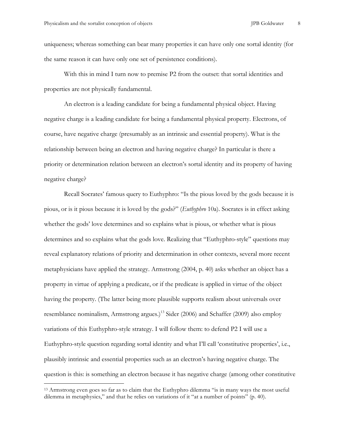uniqueness; whereas something can bear many properties it can have only one sortal identity (for the same reason it can have only one set of persistence conditions).

With this in mind I turn now to premise P2 from the outset: that sortal identities and properties are not physically fundamental.

An electron is a leading candidate for being a fundamental physical object. Having negative charge is a leading candidate for being a fundamental physical property. Electrons, of course, have negative charge (presumably as an intrinsic and essential property). What is the relationship between being an electron and having negative charge? In particular is there a priority or determination relation between an electron's sortal identity and its property of having negative charge?

Recall Socrates' famous query to Euthyphro: "Is the pious loved by the gods because it is pious, or is it pious because it is loved by the gods?" (*Euthyphro* 10a). Socrates is in effect asking whether the gods' love determines and so explains what is pious, or whether what is pious determines and so explains what the gods love. Realizing that "Euthyphro-style" questions may reveal explanatory relations of priority and determination in other contexts, several more recent metaphysicians have applied the strategy. Armstrong (2004, p. 40) asks whether an object has a property in virtue of applying a predicate, or if the predicate is applied in virtue of the object having the property. (The latter being more plausible supports realism about universals over resemblance nominalism, Armstrong argues.)<sup>13</sup> Sider (2006) and Schaffer (2009) also employ variations of this Euthyphro-style strategy. I will follow them: to defend P2 I will use a Euthyphro-style question regarding sortal identity and what I'll call 'constitutive properties', i.e., plausibly intrinsic and essential properties such as an electron's having negative charge. The question is this: is something an electron because it has negative charge (among other constitutive

<sup>&</sup>lt;sup>13</sup> Armstrong even goes so far as to claim that the Euthyphro dilemma "is in many ways the most useful dilemma in metaphysics," and that he relies on variations of it "at a number of points" (p. 40).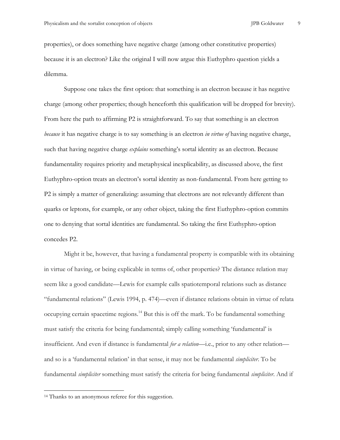properties), or does something have negative charge (among other constitutive properties) because it is an electron? Like the original I will now argue this Euthyphro question yields a dilemma.

Suppose one takes the first option: that something is an electron because it has negative charge (among other properties; though henceforth this qualification will be dropped for brevity). From here the path to affirming P2 is straightforward. To say that something is an electron *because* it has negative charge is to say something is an electron *in virtue of* having negative charge, such that having negative charge *explains* something's sortal identity as an electron. Because fundamentality requires priority and metaphysical inexplicability, as discussed above, the first Euthyphro-option treats an electron's sortal identity as non-fundamental. From here getting to P2 is simply a matter of generalizing: assuming that electrons are not relevantly different than quarks or leptons, for example, or any other object, taking the first Euthyphro-option commits one to denying that sortal identities are fundamental. So taking the first Euthyphro-option concedes P2.

Might it be, however, that having a fundamental property is compatible with its obtaining in virtue of having, or being explicable in terms of, other properties? The distance relation may seem like a good candidate—Lewis for example calls spatiotemporal relations such as distance "fundamental relations" (Lewis 1994, p. 474)—even if distance relations obtain in virtue of relata occupying certain spacetime regions.<sup>14</sup> But this is off the mark. To be fundamental something must satisfy the criteria for being fundamental; simply calling something 'fundamental' is insufficient. And even if distance is fundamental *for a relation*—i.e., prior to any other relation and so is a 'fundamental relation' in that sense, it may not be fundamental *simpliciter*. To be fundamental *simpliciter* something must satisfy the criteria for being fundamental *simpliciter*. And if

<sup>14</sup> Thanks to an anonymous referee for this suggestion.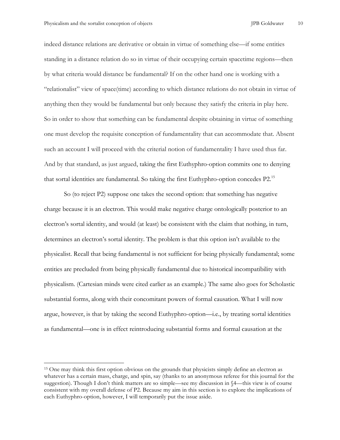indeed distance relations are derivative or obtain in virtue of something else—if some entities standing in a distance relation do so in virtue of their occupying certain spacetime regions—then by what criteria would distance be fundamental? If on the other hand one is working with a "relationalist" view of space(time) according to which distance relations do not obtain in virtue of anything then they would be fundamental but only because they satisfy the criteria in play here. So in order to show that something can be fundamental despite obtaining in virtue of something one must develop the requisite conception of fundamentality that can accommodate that. Absent such an account I will proceed with the criterial notion of fundamentality I have used thus far. And by that standard, as just argued, taking the first Euthyphro-option commits one to denying that sortal identities are fundamental. So taking the first Euthyphro-option concedes P2.<sup>15</sup>

So (to reject P2) suppose one takes the second option: that something has negative charge because it is an electron. This would make negative charge ontologically posterior to an electron's sortal identity, and would (at least) be consistent with the claim that nothing, in turn, determines an electron's sortal identity. The problem is that this option isn't available to the physicalist. Recall that being fundamental is not sufficient for being physically fundamental; some entities are precluded from being physically fundamental due to historical incompatibility with physicalism. (Cartesian minds were cited earlier as an example.) The same also goes for Scholastic substantial forms, along with their concomitant powers of formal causation. What I will now argue, however, is that by taking the second Euthyphro-option—i.e., by treating sortal identities as fundamental—one is in effect reintroducing substantial forms and formal causation at the

<sup>15</sup> One may think this first option obvious on the grounds that physicists simply define an electron as whatever has a certain mass, charge, and spin, say (thanks to an anonymous referee for this journal for the suggestion). Though I don't think matters are so simple—see my discussion in §4—this view is of course consistent with my overall defense of P2. Because my aim in this section is to explore the implications of each Euthyphro-option, however, I will temporarily put the issue aside.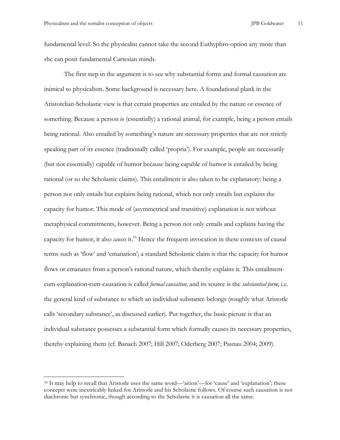fundamental level. So the physicalist cannot take the second Euthyphro-option any more than she can posit fundamental Cartesian minds.

The first step in the argument is to see why substantial forms and formal causation are inimical to physicalism. Some background is necessary here. A foundational plank in the Aristotelian-Scholastic view is that certain properties are entailed by the nature or essence of something. Because a person is (essentially) a rational animal, for example, being a person entails being rational. Also entailed by something's nature are necessary properties that are not strictly speaking part of its essence (traditionally called 'propria'). For example, people are necessarily (but not essentially) capable of humor because being capable of humor is entailed by being rational (or so the Scholastic claims). This entailment is also taken to be explanatory: being a person not only entails but explains being rational, which not only entails but explains the capacity for humor. This mode of (asymmetrical and transitive) explanation is not without metaphysical commitments, however. Being a person not only entails and explains having the capacity for humor, it also *causes* it.16 Hence the frequent invocation in these contexts of causal terms such as 'flow' and 'emanation'; a standard Scholastic claim is that the capacity for humor flows or emanates from a person's rational nature, which thereby explains it. This entailmentcum-explanation-cum-causation is called *formal causation*, and its source is the *substantial form*, i.e. the general kind of substance to which an individual substance belongs (roughly what Aristotle calls 'secondary substance', as discussed earlier). Put together, the basic picture is that an individual substance possesses a substantial form which formally causes its necessary properties, thereby explaining them (cf. Banach 2007; Hill 2007; Oderberg 2007; Pasnau 2004; 2009).

<sup>16</sup> It may help to recall that Aristotle uses the same word—'aition'—for 'cause' and 'explanation'; these concepts were inextricably linked for Aristotle and his Scholastic follows. Of course such causation is not diachronic but synchronic, though according to the Scholastic it is causation all the same.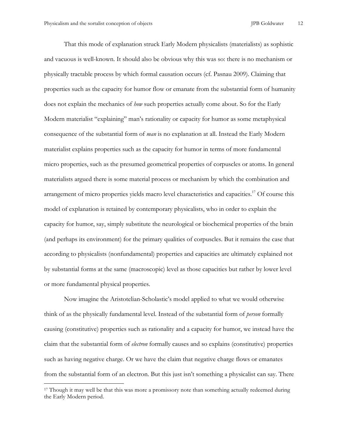That this mode of explanation struck Early Modern physicalists (materialists) as sophistic and vacuous is well-known. It should also be obvious why this was so: there is no mechanism or physically tractable process by which formal causation occurs (cf. Pasnau 2009). Claiming that properties such as the capacity for humor flow or emanate from the substantial form of humanity does not explain the mechanics of *how* such properties actually come about. So for the Early Modern materialist "explaining" man's rationality or capacity for humor as some metaphysical consequence of the substantial form of *man* is no explanation at all. Instead the Early Modern materialist explains properties such as the capacity for humor in terms of more fundamental micro properties, such as the presumed geometrical properties of corpuscles or atoms. In general materialists argued there is some material process or mechanism by which the combination and arrangement of micro properties yields macro level characteristics and capacities.<sup>17</sup> Of course this model of explanation is retained by contemporary physicalists, who in order to explain the capacity for humor, say, simply substitute the neurological or biochemical properties of the brain (and perhaps its environment) for the primary qualities of corpuscles. But it remains the case that according to physicalists (nonfundamental) properties and capacities are ultimately explained not by substantial forms at the same (macroscopic) level as those capacities but rather by lower level or more fundamental physical properties.

Now imagine the Aristotelian-Scholastic's model applied to what we would otherwise think of as the physically fundamental level. Instead of the substantial form of *person* formally causing (constitutive) properties such as rationality and a capacity for humor, we instead have the claim that the substantial form of *electron* formally causes and so explains (constitutive) properties such as having negative charge. Or we have the claim that negative charge flows or emanates from the substantial form of an electron. But this just isn't something a physicalist can say. There

<sup>&</sup>lt;sup>17</sup> Though it may well be that this was more a promissory note than something actually redeemed during the Early Modern period.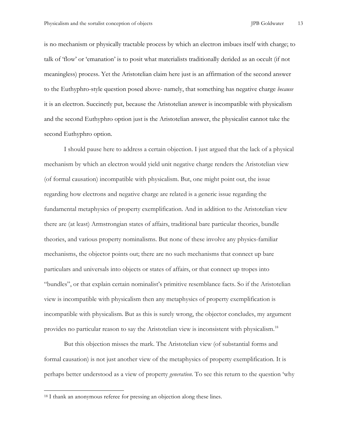is no mechanism or physically tractable process by which an electron imbues itself with charge; to talk of 'flow' or 'emanation' is to posit what materialists traditionally derided as an occult (if not meaningless) process. Yet the Aristotelian claim here just is an affirmation of the second answer to the Euthyphro-style question posed above- namely, that something has negative charge *because* it is an electron. Succinctly put, because the Aristotelian answer is incompatible with physicalism and the second Euthyphro option just is the Aristotelian answer, the physicalist cannot take the second Euthyphro option.

I should pause here to address a certain objection. I just argued that the lack of a physical mechanism by which an electron would yield unit negative charge renders the Aristotelian view (of formal causation) incompatible with physicalism. But, one might point out, the issue regarding how electrons and negative charge are related is a generic issue regarding the fundamental metaphysics of property exemplification. And in addition to the Aristotelian view there are (at least) Armstrongian states of affairs, traditional bare particular theories, bundle theories, and various property nominalisms. But none of these involve any physics-familiar mechanisms, the objector points out; there are no such mechanisms that connect up bare particulars and universals into objects or states of affairs, or that connect up tropes into "bundles", or that explain certain nominalist's primitive resemblance facts. So if the Aristotelian view is incompatible with physicalism then any metaphysics of property exemplification is incompatible with physicalism. But as this is surely wrong, the objector concludes, my argument provides no particular reason to say the Aristotelian view is inconsistent with physicalism.18

But this objection misses the mark. The Aristotelian view (of substantial forms and formal causation) is not just another view of the metaphysics of property exemplification. It is perhaps better understood as a view of property *generation*. To see this return to the question 'why

<sup>18</sup> I thank an anonymous referee for pressing an objection along these lines.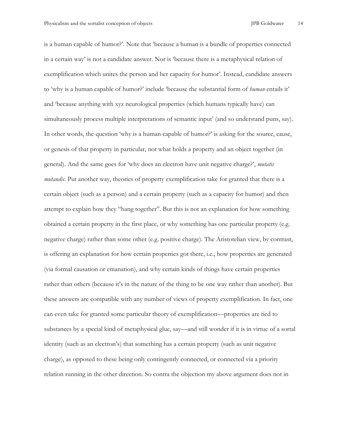is a human capable of humor?'. Note that 'because a human is a bundle of properties connected in a certain way' is not a candidate answer. Nor is 'because there is a metaphysical relation of exemplification which unites the person and her capacity for humor'. Instead, candidate answers to 'why is a human capable of humor?' include 'because the substantial form of *human* entails it' and 'because anything with xyz neurological properties (which humans typically have) can simultaneously process multiple interpretations of semantic input' (and so understand puns, say). In other words, the question 'why is a human capable of humor?' is asking for the source, cause, or genesis of that property in particular, not what holds a property and an object together (in general). And the same goes for 'why does an electron have unit negative charge?', *mutatis mutandis*. Put another way, theories of property exemplification take for granted that there is a certain object (such as a person) and a certain property (such as a capacity for humor) and then attempt to explain how they "hang together". But this is not an explanation for how something obtained a certain property in the first place, or why something has one particular property (e.g. negative charge) rather than some other (e.g. positive charge). The Aristotelian view, by contrast, is offering an explanation for how certain properties got there, i.e., how properties are generated (via formal causation or emanation), and why certain kinds of things have certain properties rather than others (because it's in the nature of the thing to be one way rather than another). But these answers are compatible with any number of views of property exemplification. In fact, one can even take for granted some particular theory of exemplification—properties are tied to substances by a special kind of metaphysical glue, say—and still wonder if it is in virtue of a sortal identity (such as an electron's) that something has a certain property (such as unit negative charge), as opposed to these being only contingently connected, or connected via a priority relation running in the other direction. So contra the objection my above argument does not in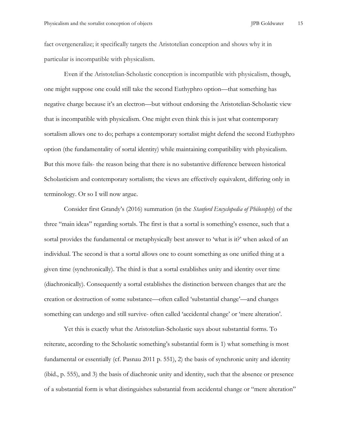fact overgeneralize; it specifically targets the Aristotelian conception and shows why it in particular is incompatible with physicalism.

Even if the Aristotelian-Scholastic conception is incompatible with physicalism, though, one might suppose one could still take the second Euthyphro option—that something has negative charge because it's an electron—but without endorsing the Aristotelian-Scholastic view that is incompatible with physicalism. One might even think this is just what contemporary sortalism allows one to do; perhaps a contemporary sortalist might defend the second Euthyphro option (the fundamentality of sortal identity) while maintaining compatibility with physicalism. But this move fails- the reason being that there is no substantive difference between historical Scholasticism and contemporary sortalism; the views are effectively equivalent, differing only in terminology. Or so I will now argue.

Consider first Grandy's (2016) summation (in the *Stanford Encyclopedia of Philosophy*) of the three "main ideas" regarding sortals. The first is that a sortal is something's essence, such that a sortal provides the fundamental or metaphysically best answer to 'what is it?' when asked of an individual. The second is that a sortal allows one to count something as one unified thing at a given time (synchronically). The third is that a sortal establishes unity and identity over time (diachronically). Consequently a sortal establishes the distinction between changes that are the creation or destruction of some substance—often called 'substantial change'—and changes something can undergo and still survive- often called 'accidental change' or 'mere alteration'.

Yet this is exactly what the Aristotelian-Scholastic says about substantial forms. To reiterate, according to the Scholastic something's substantial form is 1) what something is most fundamental or essentially (cf. Pasnau 2011 p. 551), 2) the basis of synchronic unity and identity (ibid., p. 555), and 3) the basis of diachronic unity and identity, such that the absence or presence of a substantial form is what distinguishes substantial from accidental change or "mere alteration"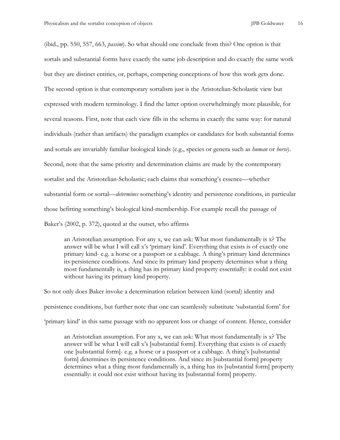(ibid., pp. 550, 557, 663, *passim*). So what should one conclude from this? One option is that sortals and substantial forms have exactly the same job description and do exactly the same work but they are distinct entities, or, perhaps, competing conceptions of how this work gets done. The second option is that contemporary sortalism just is the Aristotelian-Scholastic view but expressed with modern terminology. I find the latter option overwhelmingly more plausible, for several reasons. First, note that each view fills in the schema in exactly the same way: for natural individuals (rather than artifacts) the paradigm examples or candidates for both substantial forms and sortals are invariably familiar biological kinds (e.g., species or genera such as *human* or *horse*). Second, note that the same priority and determination claims are made by the contemporary sortalist and the Aristotelian-Scholastic; each claims that something's essence—whether substantial form or sortal—*determines* something's identity and persistence conditions, in particular those befitting something's biological kind-membership. For example recall the passage of Baker's (2002, p. 372), quoted at the outset, who affirms

an Aristotelian assumption. For any x, we can ask: What most fundamentally is x? The answer will be what I will call x's 'primary kind'. Everything that exists is of exactly one primary kind- e.g. a horse or a passport or a cabbage. A thing's primary kind determines its persistence conditions. And since its primary kind property determines what a thing most fundamentally is, a thing has its primary kind property essentially: it could not exist without having its primary kind property.

So not only does Baker invoke a determination relation between kind (sortal) identity and persistence conditions, but further note that one can seamlessly substitute 'substantial form' for 'primary kind' in this same passage with no apparent loss or change of content. Hence, consider

an Aristotelian assumption. For any x, we can ask: What most fundamentally is x? The answer will be what I will call x's [substantial form]. Everything that exists is of exactly one [substantial form]- e.g. a horse or a passport or a cabbage. A thing's [substantial form] determines its persistence conditions. And since its [substantial form] property determines what a thing most fundamentally is, a thing has its [substantial form] property essentially: it could not exist without having its [substantial form] property.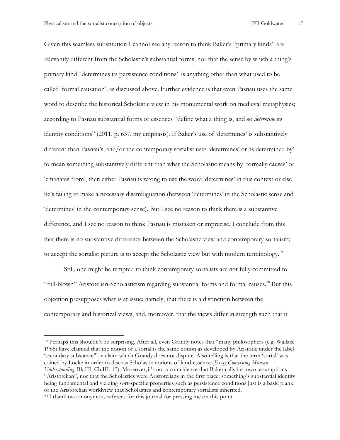Given this seamless substitution I cannot see any reason to think Baker's "primary kinds" are relevantly different from the Scholastic's substantial forms, nor that the sense by which a thing's primary kind "determines its persistence conditions" is anything other than what used to be called 'formal causation', as discussed above. Further evidence is that even Pasnau uses the same word to describe the historical Scholastic view in his monumental work on medieval metaphysics; according to Pasnau substantial forms or essences "define what a thing is, and so *determine* its identity conditions" (2011, p. 637, my emphasis). If Baker's use of 'determines' is substantively different than Pasnau's, and/or the contemporary sortalist uses 'determines' or 'is determined by' to mean something substantively different than what the Scholastic means by 'formally causes' or 'emanates from', then either Pasnau is wrong to use the word 'determines' in this context or else he's failing to make a necessary disambiguation (between 'determines' in the Scholastic sense and 'determines' in the contemporary sense). But I see no reason to think there is a substantive difference, and I see no reason to think Pasnau is mistaken or imprecise. I conclude from this that there is no substantive difference between the Scholastic view and contemporary sortalism; to accept the sortalist picture is to accept the Scholastic view but with modern terminology.<sup>19</sup>

Still, one might be tempted to think contemporary sortalists are not fully committed to "full-blown" Aristotelian-Scholasticism regarding substantial forms and formal causes.<sup>20</sup> But this objection presupposes what is at issue: namely, that there is a distinction between the contemporary and historical views, and, moreover, that the views differ in strength such that it

<sup>19</sup> Perhaps this shouldn't be surprising. After all, even Grandy notes that "many philosophers (e.g. Wallace 1965) have claimed that the notion of a sortal is the same notion as developed by Aristotle under the label 'secondary substance'"- a claim which Grandy does not dispute. Also telling is that the term 'sortal' was coined by Locke in order to discuss Scholastic notions of kind-essence (*Essay Concerning Human Understanding*, Bk.III, Ch.III, 15). Moreover, it's not a coincidence that Baker calls her own assumptions "Aristotelian", nor that the Scholastics were Aristotelians in the first place: something's substantial identity being fundamental and yielding sort-specific properties such as persistence conditions just is a basic plank of the Aristotelian worldview that Scholastics and contemporary sortalists inherited.

<sup>20</sup> I thank two anonymous referees for this journal for pressing me on this point.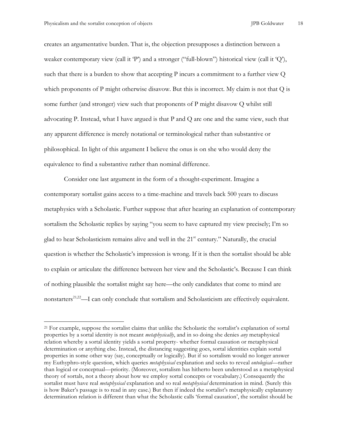creates an argumentative burden. That is, the objection presupposes a distinction between a weaker contemporary view (call it 'P') and a stronger ("full-blown") historical view (call it 'Q'), such that there is a burden to show that accepting P incurs a commitment to a further view Q which proponents of P might otherwise disavow. But this is incorrect. My claim is not that Q is some further (and stronger) view such that proponents of P might disavow Q whilst still advocating P. Instead, what I have argued is that P and Q are one and the same view, such that any apparent difference is merely notational or terminological rather than substantive or philosophical. In light of this argument I believe the onus is on she who would deny the equivalence to find a substantive rather than nominal difference.

Consider one last argument in the form of a thought-experiment. Imagine a contemporary sortalist gains access to a time-machine and travels back 500 years to discuss metaphysics with a Scholastic. Further suppose that after hearing an explanation of contemporary sortalism the Scholastic replies by saying "you seem to have captured my view precisely; I'm so glad to hear Scholasticism remains alive and well in the 21<sup>st</sup> century." Naturally, the crucial question is whether the Scholastic's impression is wrong. If it is then the sortalist should be able to explain or articulate the difference between her view and the Scholastic's. Because I can think of nothing plausible the sortalist might say here—the only candidates that come to mind are nonstarters<sup>21,22</sup>—I can only conclude that sortalism and Scholasticism are effectively equivalent.

<sup>&</sup>lt;sup>21</sup> For example, suppose the sortalist claims that unlike the Scholastic the sortalist's explanation of sortal properties by a sortal identity is not meant *metaphysically*, and in so doing she denies *any* metaphysical relation whereby a sortal identity yields a sortal property- whether formal causation or metaphysical determination or anything else. Instead, the distancing suggesting goes, sortal identities explain sortal properties in some other way (say, conceptually or logically). But if so sortalism would no longer answer my Euthyphro-style question, which queries *metaphysical* explanation and seeks to reveal *ontological*—rather than logical or conceptual—priority. (Moreover, sortalism has hitherto been understood as a metaphysical theory of sortals, not a theory about how we employ sortal concepts or vocabulary.) Consequently the sortalist must have real *metaphysical* explanation and so real *metaphysical* determination in mind. (Surely this is how Baker's passage is to read in any case.) But then if indeed the sortalist's metaphysically explanatory determination relation is different than what the Scholastic calls 'formal causation', the sortalist should be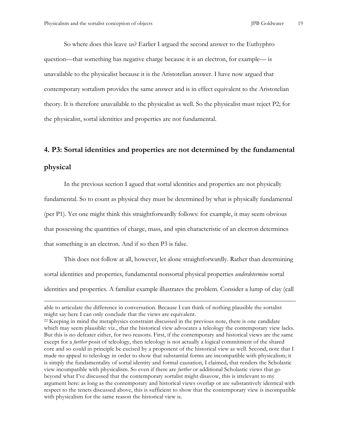So where does this leave us? Earlier I argued the second answer to the Euthyphro question—that something has negative charge because it is an electron, for example— is unavailable to the physicalist because it is the Aristotelian answer. I have now argued that contemporary sortalism provides the same answer and is in effect equivalent to the Aristotelian theory. It is therefore unavailable to the physicalist as well. So the physicalist must reject P2; for the physicalist, sortal identities and properties are not fundamental.

# **4. P3: Sortal identities and properties are not determined by the fundamental physical**

In the previous section I agued that sortal identities and properties are not physically fundamental. So to count as physical they must be determined by what is physically fundamental (per P1). Yet one might think this straightforwardly follows: for example, it may seem obvious that possessing the quantities of charge, mass, and spin characteristic of an electron determines that something is an electron. And if so then P3 is false.

This does not follow at all, however, let alone straightforwardly. Rather than determining sortal identities and properties, fundamental nonsortal physical properties *underdetermine* sortal identities and properties. A familiar example illustrates the problem. Consider a lump of clay (call

<u> 1989 - Andrea Santa Andrea Andrea Andrea Andrea Andrea Andrea Andrea Andrea Andrea Andrea Andrea Andrea Andr</u>

able to articulate the difference in conversation. Because I can think of nothing plausible the sortalist might say here I can only conclude that the views are equivalent.

<sup>22</sup> Keeping in mind the metaphysics constraint discussed in the previous note, there is one candidate which may seem plausible: viz., that the historical view advocates a teleology the contemporary view lacks. But this is no defeater either, for two reasons. First, if the contemporary and historical views are the same except for a *further* posit of teleology, then teleology is not actually a logical commitment of the shared core and so could in principle be excised by a proponent of the historical view as well. Second, note that I made no appeal to teleology in order to show that substantial forms are incompatible with physicalism; it is simply the fundamentality of sortal identity and formal causation, I claimed, that renders the Scholastic view incompatible with physicalism. So even if there are *further* or additional Scholastic views that go beyond what I've discussed that the contemporary sortalist might disavow, this is irrelevant to my argument here: as long as the contemporary and historical views overlap or are substantively identical with respect to the tenets discussed above, this is sufficient to show that the contemporary view is incompatible with physicalism for the same reason the historical view is.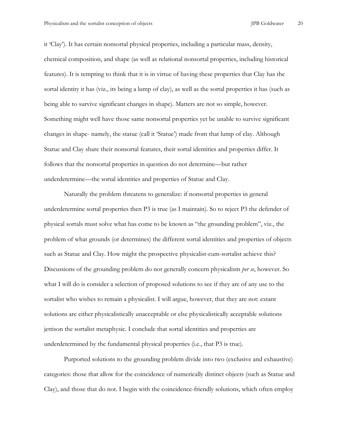it 'Clay'). It has certain nonsortal physical properties, including a particular mass, density, chemical composition, and shape (as well as relational nonsortal properties, including historical features). It is tempting to think that it is in virtue of having these properties that Clay has the sortal identity it has (viz., its being a lump of clay), as well as the sortal properties it has (such as being able to survive significant changes in shape). Matters are not so simple, however. Something might well have those same nonsortal properties yet be unable to survive significant changes in shape- namely, the statue (call it 'Statue') made from that lump of clay. Although Statue and Clay share their nonsortal features, their sortal identities and properties differ. It follows that the nonsortal properties in question do not determine—but rather underdetermine—the sortal identities and properties of Statue and Clay.

Naturally the problem threatens to generalize: if nonsortal properties in general underdetermine sortal properties then P3 is true (as I maintain). So to reject P3 the defender of physical sortals must solve what has come to be known as "the grounding problem", viz., the problem of what grounds (or determines) the different sortal identities and properties of objects such as Statue and Clay. How might the prospective physicalist-cum-sortalist achieve this? Discussions of the grounding problem do not generally concern physicalism *per se*, however. So what I will do is consider a selection of proposed solutions to see if they are of any use to the sortalist who wishes to remain a physicalist. I will argue, however, that they are not: extant solutions are either physicalistically unacceptable or else physicalistically acceptable solutions jettison the sortalist metaphysic. I conclude that sortal identities and properties are underdetermined by the fundamental physical properties (i.e., that P3 is true).

Purported solutions to the grounding problem divide into two (exclusive and exhaustive) categories: those that allow for the coincidence of numerically distinct objects (such as Statue and Clay), and those that do not. I begin with the coincidence-friendly solutions, which often employ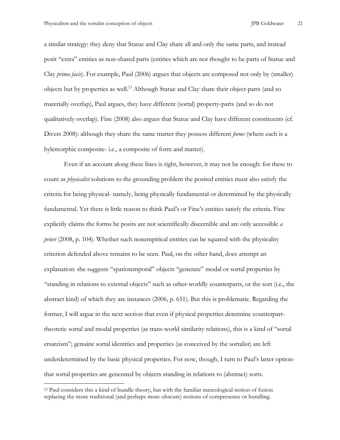a similar strategy: they deny that Statue and Clay share all and only the same parts, and instead posit "extra" entities as non-shared parts (entities which are not thought to be parts of Statue and Clay *prima facie*). For example, Paul (2006) argues that objects are composed not only by (smaller) objects but by properties as well.<sup>23</sup> Although Statue and Clay share their object-parts (and so materially overlap), Paul argues, they have different (sortal) property-parts (and so do not qualitatively overlap). Fine (2008) also argues that Statue and Clay have different constituents (cf. Divers 2008): although they share the same matter they possess different *forms* (where each is a hylemorphic composite- i.e., a composite of form and matter).

Even if an account along these lines is right, however, it may not be enough: for these to count as *physicalist* solutions to the grounding problem the posited entities must also satisfy the criteria for being physical- namely, being physically fundamental or determined by the physically fundamental. Yet there is little reason to think Paul's or Fine's entities satisfy the criteria. Fine explicitly claims the forms he posits are not scientifically discernible and are only accessible *a priori* (2008, p. 104). Whether such nonempirical entities can be squared with the physicality criterion defended above remains to be seen. Paul, on the other hand, does attempt an explanation: she suggests "spatiotemporal" objects "generate" modal or sortal properties by "standing in relations to external objects" such as other-worldly counterparts, or the sort (i.e., the abstract kind) of which they are instances (2006, p. 651). But this is problematic. Regarding the former, I will argue in the next section that even if physical properties determine counterparttheoretic sortal and modal properties (as trans-world similarity relations), this is a kind of "sortal ersatzism"; genuine sortal identities and properties (as conceived by the sortalist) are left underdetermined by the basic physical properties. For now, though, I turn to Paul's latter optionthat sortal properties are generated by objects standing in relations to (abstract) sorts.

<sup>&</sup>lt;sup>23</sup> Paul considers this a kind of bundle theory, but with the familiar mereological notion of fusion replacing the more traditional (and perhaps more obscure) notions of compresence or bundling.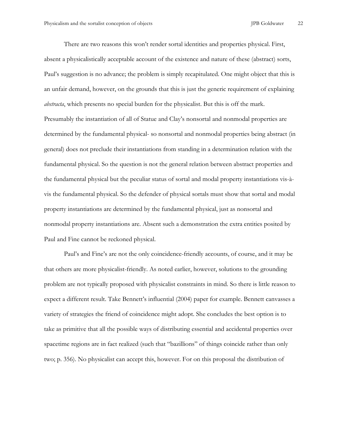There are two reasons this won't render sortal identities and properties physical. First, absent a physicalistically acceptable account of the existence and nature of these (abstract) sorts, Paul's suggestion is no advance; the problem is simply recapitulated. One might object that this is an unfair demand, however, on the grounds that this is just the generic requirement of explaining *abstracta*, which presents no special burden for the physicalist. But this is off the mark. Presumably the instantiation of all of Statue and Clay's nonsortal and nonmodal properties are determined by the fundamental physical- so nonsortal and nonmodal properties being abstract (in general) does not preclude their instantiations from standing in a determination relation with the fundamental physical. So the question is not the general relation between abstract properties and the fundamental physical but the peculiar status of sortal and modal property instantiations vis-àvis the fundamental physical. So the defender of physical sortals must show that sortal and modal property instantiations are determined by the fundamental physical, just as nonsortal and nonmodal property instantiations are. Absent such a demonstration the extra entities posited by Paul and Fine cannot be reckoned physical.

Paul's and Fine's are not the only coincidence-friendly accounts, of course, and it may be that others are more physicalist-friendly. As noted earlier, however, solutions to the grounding problem are not typically proposed with physicalist constraints in mind. So there is little reason to expect a different result. Take Bennett's influential (2004) paper for example. Bennett canvasses a variety of strategies the friend of coincidence might adopt. She concludes the best option is to take as primitive that all the possible ways of distributing essential and accidental properties over spacetime regions are in fact realized (such that "bazillions" of things coincide rather than only two; p. 356). No physicalist can accept this, however. For on this proposal the distribution of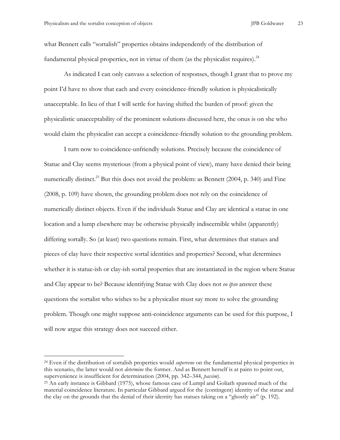what Bennett calls "sortalish" properties obtains independently of the distribution of fundamental physical properties, not in virtue of them (as the physicalist requires). $^{24}$ 

As indicated I can only canvass a selection of responses, though I grant that to prove my point I'd have to show that each and every coincidence-friendly solution is physicalistically unacceptable. In lieu of that I will settle for having shifted the burden of proof: given the physicalistic unacceptability of the prominent solutions discussed here, the onus is on she who would claim the physicalist can accept a coincidence-friendly solution to the grounding problem.

I turn now to coincidence-unfriendly solutions. Precisely because the coincidence of Statue and Clay seems mysterious (from a physical point of view), many have denied their being numerically distinct.<sup>25</sup> But this does not avoid the problem: as Bennett (2004, p. 340) and Fine (2008, p. 109) have shown, the grounding problem does not rely on the coincidence of numerically distinct objects. Even if the individuals Statue and Clay are identical a statue in one location and a lump elsewhere may be otherwise physically indiscernible whilst (apparently) differing sortally. So (at least) two questions remain. First, what determines that statues and pieces of clay have their respective sortal identities and properties? Second, what determines whether it is statue-ish or clay-ish sortal properties that are instantiated in the region where Statue and Clay appear to be? Because identifying Statue with Clay does not *eo ipso* answer these questions the sortalist who wishes to be a physicalist must say more to solve the grounding problem. Though one might suppose anti-coincidence arguments can be used for this purpose, I will now argue this strategy does not succeed either.

<sup>24</sup> Even if the distribution of sortalish properties would *supervene* on the fundamental physical properties in this scenario, the latter would not *determine* the former. And as Bennett herself is at pains to point out, supervenience is insufficient for determination (2004, pp. 342–344, *passim*).

<sup>25</sup> An early instance is Gibbard (1975), whose famous case of Lumpl and Goliath spawned much of the material coincidence literature. In particular Gibbard argued for the (contingent) identity of the statue and the clay on the grounds that the denial of their identity has statues taking on a "ghostly air" (p. 192).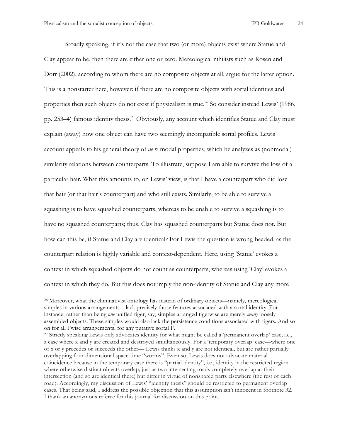Broadly speaking, if it's not the case that two (or more) objects exist where Statue and Clay appear to be, then there are either one or zero. Mereological nihilists such as Rosen and Dorr (2002), according to whom there are no composite objects at all, argue for the latter option. This is a nonstarter here, however: if there are no composite objects with sortal identities and properties then such objects do not exist if physicalism is true.<sup>26</sup> So consider instead Lewis' (1986, pp. 253–4) famous identity thesis.<sup>27</sup> Obviously, any account which identifies Statue and Clay must explain (away) how one object can have two seemingly incompatible sortal profiles. Lewis' account appeals to his general theory of *de re* modal properties, which he analyzes as (nonmodal) similarity relations between counterparts. To illustrate, suppose I am able to survive the loss of a particular hair. What this amounts to, on Lewis' view, is that I have a counterpart who did lose that hair (or that hair's counterpart) and who still exists. Similarly, to be able to survive a squashing is to have squashed counterparts, whereas to be unable to survive a squashing is to have no squashed counterparts; thus, Clay has squashed counterparts but Statue does not. But how can this be, if Statue and Clay are identical? For Lewis the question is wrong-headed, as the counterpart relation is highly variable and context-dependent. Here, using 'Statue' evokes a context in which squashed objects do not count as counterparts, whereas using 'Clay' evokes a context in which they do. But this does not imply the non-identity of Statue and Clay any more

<sup>&</sup>lt;sup>26</sup> Moreover, what the eliminativist ontology has instead of ordinary objects—namely, mereological simples in various arrangements—lack precisely those features associated with a sortal identity. For instance, rather than being *one* unified tiger, say, simples arranged tigerwise are merely *many* loosely assembled objects. These simples would also lack the persistence conditions associated with tigers. And so on for all Fwise arrangements, for any putative sortal F.

<sup>27</sup> Strictly speaking Lewis only advocates identity for what might be called a 'permanent overlap' case, i.e., a case where x and y are created and destroyed simultaneously. For a 'temporary overlap' case—where one of x or y precedes or succeeds the other— Lewis thinks x and y are not identical, but are rather partially overlapping four-dimensional space-time "worms". Even so, Lewis does not advocate material coincidence because in the temporary case there is "partial identity", i.e., identity in the restricted region where otherwise distinct objects overlap; just as two intersecting roads completely overlap at their intersection (and so are identical there) but differ in virtue of nonshared parts elsewhere (the rest of each road). Accordingly, my discussion of Lewis' "identity thesis" should be restricted to permanent overlap cases. That being said, I address the possible objection that this assumption isn't innocent in footnote 32. I thank an anonymous referee for this journal for discussion on this point.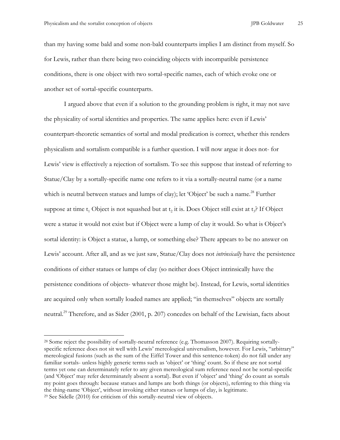than my having some bald and some non-bald counterparts implies I am distinct from myself. So for Lewis, rather than there being two coinciding objects with incompatible persistence conditions, there is one object with two sortal-specific names, each of which evoke one or another set of sortal-specific counterparts.

I argued above that even if a solution to the grounding problem is right, it may not save the physicality of sortal identities and properties. The same applies here: even if Lewis' counterpart-theoretic semantics of sortal and modal predication is correct, whether this renders physicalism and sortalism compatible is a further question. I will now argue it does not- for Lewis' view is effectively a rejection of sortalism. To see this suppose that instead of referring to Statue/Clay by a sortally-specific name one refers to it via a sortally-neutral name (or a name which is neutral between statues and lumps of clay); let 'Object' be such a name.<sup>28</sup> Further suppose at time  $t_1$  Object is not squashed but at  $t_2$  it is. Does Object still exist at  $t_3$ ? If Object were a statue it would not exist but if Object were a lump of clay it would. So what is Object's sortal identity: is Object a statue, a lump, or something else? There appears to be no answer on Lewis' account. After all, and as we just saw, Statue/Clay does not *intrinsically* have the persistence conditions of either statues or lumps of clay (so neither does Object intrinsically have the persistence conditions of objects- whatever those might be). Instead, for Lewis, sortal identities are acquired only when sortally loaded names are applied; "in themselves" objects are sortally neutral.<sup>29</sup> Therefore, and as Sider (2001, p. 207) concedes on behalf of the Lewisian, facts about

<sup>28</sup> Some reject the possibility of sortally-neutral reference (e.g. Thomasson 2007). Requiring sortallyspecific reference does not sit well with Lewis' mereological universalism, however. For Lewis, "arbitrary" mereological fusions (such as the sum of the Eiffel Tower and this sentence-token) do not fall under any familiar sortals- unless highly generic terms such as 'object' or 'thing' count. So if these are not sortal terms yet one can determinately refer to any given mereological sum reference need not be sortal-specific (and 'Object' may refer determinately absent a sortal). But even if 'object' and 'thing' do count as sortals my point goes through: because statues and lumps are both things (or objects), referring to this thing via the thing-name 'Object', without invoking either statues or lumps of clay, is legitimate.

<sup>29</sup> See Sidelle (2010) for criticism of this sortally-neutral view of objects.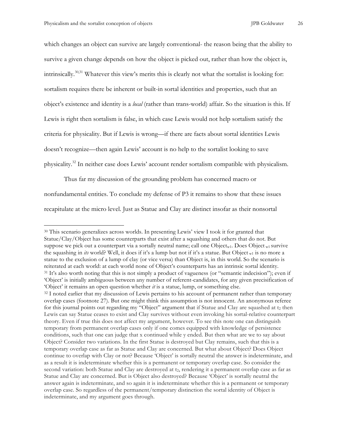which changes an object can survive are largely conventional- the reason being that the ability to survive a given change depends on how the object is picked out, rather than how the object is, intrinsically.<sup>30,31</sup> Whatever this view's merits this is clearly not what the sortalist is looking for: sortalism requires there be inherent or built-in sortal identities and properties, such that an object's existence and identity is a *local* (rather than trans-world) affair. So the situation is this. If Lewis is right then sortalism is false, in which case Lewis would not help sortalism satisfy the criteria for physicality. But if Lewis is wrong—if there are facts about sortal identities Lewis doesn't recognize—then again Lewis' account is no help to the sortalist looking to save physicality.32 In neither case does Lewis' account render sortalism compatible with physicalism.

Thus far my discussion of the grounding problem has concerned macro or nonfundamental entities. To conclude my defense of P3 it remains to show that these issues recapitulate at the micro level. Just as Statue and Clay are distinct insofar as their nonsortal

<sup>&</sup>lt;sup>30</sup> This scenario generalizes across worlds. In presenting Lewis' view I took it for granted that Statue/Clay/Object has some counterparts that exist after a squashing and others that do not. But suppose we pick out a counterpart via a sortally neutral name; call one Object<sub>w1</sub>. Does Object<sub>w1</sub> survive the squashing in *its* world? Well, it does if it's a lump but not if it's a statue. But Object w1 is no more a statue to the exclusion of a lump of clay (or vice versa) than Object is, in this world. So the scenario is reiterated at each world: at each world none of Object's counterparts has an intrinsic sortal identity. <sup>31</sup> It's also worth noting that this is not simply a product of vagueness (or "semantic indecision"); even if 'Object' is initially ambiguous between any number of referent-candidates, for any given precisification of 'Object' it remains an open question whether *it* is a statue, lump, or something else. <sup>32</sup> I noted earlier that my discussion of Lewis pertains to his account of permanent rather than temporary overlap cases (footnote 27). But one might think this assumption is not innocent. An anonymous referee for this journal points out regarding my "Object" argument that if Statue and Clay are squashed at t2 then Lewis can say Statue ceases to exist and Clay survives without even invoking his sortal-relative counterpart theory. Even if true this does not affect my argument, however. To see this note one can distinguish temporary from permanent overlap cases only if one comes equipped with knowledge of persistence conditions, such that one can judge that x continued while y ended. But then what are we to say about Object? Consider two variations. In the first Statue is destroyed but Clay remains, such that this is a temporary overlap case as far as Statue and Clay are concerned. But what about Object? Does Object continue to overlap with Clay or not? Because 'Object' is sortally neutral the answer is indeterminate, and as a result it is indeterminate whether this is a permanent or temporary overlap case. So consider the second variation: both Statue and Clay are destroyed at t<sub>2</sub>, rendering it a permanent overlap case as far as Statue and Clay are concerned. But is Object also destroyed? Because 'Object' is sortally neutral the answer again is indeterminate, and so again it is indeterminate whether this is a permanent or temporary overlap case. So regardless of the permanent/temporary distinction the sortal identity of Object is indeterminate, and my argument goes through.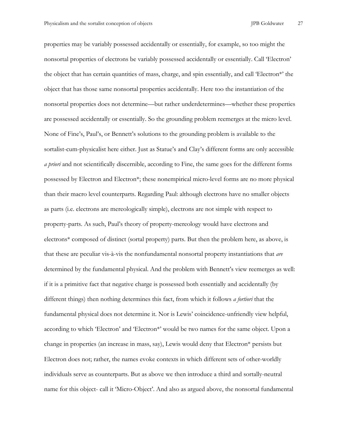properties may be variably possessed accidentally or essentially, for example, so too might the nonsortal properties of electrons be variably possessed accidentally or essentially. Call 'Electron' the object that has certain quantities of mass, charge, and spin essentially, and call 'Electron\*' the object that has those same nonsortal properties accidentally. Here too the instantiation of the nonsortal properties does not determine—but rather underdetermines—whether these properties are possessed accidentally or essentially. So the grounding problem reemerges at the micro level. None of Fine's, Paul's, or Bennett's solutions to the grounding problem is available to the sortalist-cum-physicalist here either. Just as Statue's and Clay's different forms are only accessible *a priori* and not scientifically discernible, according to Fine, the same goes for the different forms possessed by Electron and Electron\*; these nonempirical micro-level forms are no more physical than their macro level counterparts. Regarding Paul: although electrons have no smaller objects as parts (i.e. electrons are mereologically simple), electrons are not simple with respect to property-parts. As such, Paul's theory of property-mereology would have electrons and electrons\* composed of distinct (sortal property) parts. But then the problem here, as above, is that these are peculiar vis-à-vis the nonfundamental nonsortal property instantiations that *are* determined by the fundamental physical. And the problem with Bennett's view reemerges as well: if it is a primitive fact that negative charge is possessed both essentially and accidentally (by different things) then nothing determines this fact, from which it follows *a fortiori* that the fundamental physical does not determine it. Nor is Lewis' coincidence-unfriendly view helpful, according to which 'Electron' and 'Electron\*' would be two names for the same object. Upon a change in properties (an increase in mass, say), Lewis would deny that Electron\* persists but Electron does not; rather, the names evoke contexts in which different sets of other-worldly individuals serve as counterparts. But as above we then introduce a third and sortally-neutral name for this object- call it 'Micro-Object'. And also as argued above, the nonsortal fundamental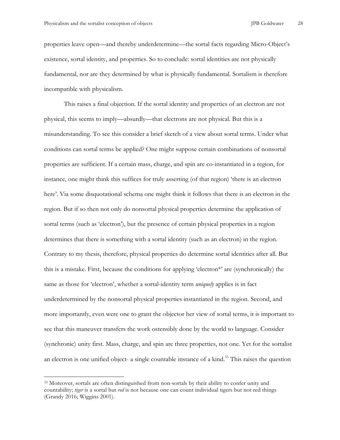properties leave open—and thereby underdetermine—the sortal facts regarding Micro-Object's existence, sortal identity, and properties. So to conclude: sortal identities are not physically fundamental, nor are they determined by what is physically fundamental. Sortalism is therefore incompatible with physicalism.

This raises a final objection. If the sortal identity and properties of an electron are not physical, this seems to imply—absurdly—that electrons are not physical. But this is a misunderstanding. To see this consider a brief sketch of a view about sortal terms. Under what conditions can sortal terms be applied? One might suppose certain combinations of nonsortal properties are sufficient. If a certain mass, charge, and spin are co-instantiated in a region, for instance, one might think this suffices for truly asserting (of that region) 'there is an electron here'. Via some disquotational schema one might think it follows that there is an electron in the region. But if so then not only do nonsortal physical properties determine the application of sortal terms (such as 'electron'), but the presence of certain physical properties in a region determines that there is something with a sortal identity (such as an electron) in the region. Contrary to my thesis, therefore, physical properties do determine sortal identities after all. But this is a mistake. First, because the conditions for applying 'electron\*' are (synchronically) the same as those for 'electron', whether a sortal-identity term *uniquely* applies is in fact underdetermined by the nonsortal physical properties instantiated in the region. Second, and more importantly, even were one to grant the objector her view of sortal terms, it is important to see that this maneuver transfers the work ostensibly done by the world to language. Consider (synchronic) unity first. Mass, charge, and spin are three properties, not one. Yet for the sortalist an electron is one unified object- a single countable instance of a kind.<sup>33</sup> This raises the question

<sup>33</sup> Moreover, sortals are often distinguished from non-sortals by their ability to confer unity and countability; *tiger* is a sortal but *red* is not because one can count individual tigers but not red things (Grandy 2016; Wiggins 2001).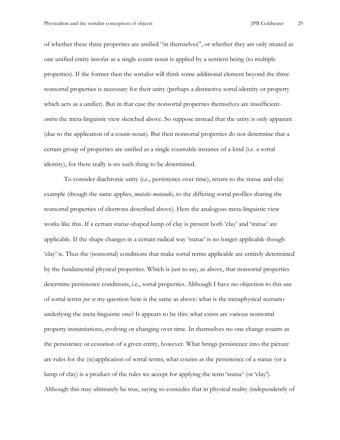of whether these three properties are unified "in themselves", or whether they are only treated as one unified entity insofar as a single count-noun is applied by a sentient being (to multiple properties). If the former then the sortalist will think some additional element beyond the three nonsortal properties is necessary for their unity (perhaps a distinctive sortal identity or property which acts as a unifier). But in that case the nonsortal properties themselves are insufficient*contra* the meta-linguistic view sketched above. So suppose instead that the unity is only apparent (due to the application of a count-noun). But then nonsortal properties do not determine that a certain group of properties are unified as a single countable instance of a kind (i.e. a sortal identity), for there really is no such thing to be determined.

To consider diachronic unity (i.e., persistence over time), return to the statue and clay example (though the same applies, *mutatis mutandis*, to the differing sortal profiles sharing the nonsortal properties of electrons described above). Here the analogous meta-linguistic view works like this. If a certain statue-shaped lump of clay is present both 'clay' and 'statue' are applicable. If the shape changes in a certain radical way 'statue' is no longer applicable though 'clay' is. Thus the (nonsortal) conditions that make sortal terms applicable are entirely determined by the fundamental physical properties. Which is just to say, as above, that nonsortal properties determine persistence conditions, i.e., sortal properties. Although I have no objection to this use of sortal terms *per se* my question here is the same as above: what is the metaphysical scenario underlying the meta-linguistic one? It appears to be this: what exists are various nonsortal property instantiations, evolving or changing over time. In themselves no one change counts as the persistence or cessation of a given entity, however. What brings persistence into the picture are rules for the (re)application of sortal terms; what counts as the persistence of a statue (or a lump of clay) is a product of the rules we accept for applying the term 'statue' (or 'clay'). Although this may ultimately be true, saying so concedes that in physical reality (independently of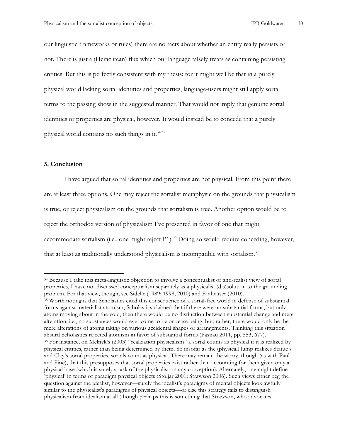our linguistic frameworks or rules) there are no facts about whether an entity really persists or not. There is just a (Heraclitean) flux which our language falsely treats as containing persisting entities. But this is perfectly consistent with my thesis: for it might well be that in a purely physical world lacking sortal identities and properties, language-users might still apply sortal terms to the passing show in the suggested manner. That would not imply that genuine sortal identities or properties are physical, however. It would instead be to concede that a purely physical world contains no such things in it.<sup>34,35</sup>

#### **5. Conclusion**

 

I have argued that sortal identities and properties are not physical. From this point there are at least three options. One may reject the sortalist metaphysic on the grounds that physicalism is true, or reject physicalism on the grounds that sortalism is true. Another option would be to reject the orthodox version of physicalism I've presented in favor of one that might accommodate sortalism (i.e., one might reject P1).<sup>36</sup> Doing so would require conceding, however, that at least as traditionally understood physicalism is incompatible with sortalism.<sup>37</sup>

<sup>34</sup> Because I take this meta-linguistic objection to involve a conceptualist or anti-realist view of sortal properties, I have not discussed conceptualism separately as a physicalist (dis)solution to the grounding problem. For that view, though, see Sidelle (1989; 1998; 2010) and Einheuser (2010).

<sup>35</sup> Worth noting is that Scholastics cited this consequence of a sortal-free world in defense of substantial forms against materialist atomism; Scholastics claimed that if there were no substantial forms, but only atoms moving about in the void, then there would be no distinction between substantial change and mere alteration, i.e., no substances would ever come to be or cease being, but, rather, there would only be the mere alterations of atoms taking on various accidental shapes or arrangements. Thinking this situation absurd Scholastics rejected atomism in favor of substantial forms (Pasnau 2011, pp. 553, 677). <sup>36</sup> For instance, on Melnyk's (2003) "realization physicalism" a sortal counts as physical if it is realized by physical entities, rather than being determined by them. So insofar as the (physical) lump realizes Statue's and Clay's sortal properties, sortals count as physical. There may remain the worry, though (as with Paul and Fine), that this presupposes that sortal properties exist rather than accounting for them given only a physical base (which is surely a task of the physicalist on any conception). Alternately, one might define 'physical' in terms of paradigm physical objects (Stoljar 2001; Strawson 2006). Such views either beg the question against the idealist, however—surely the idealist's paradigms of mental objects look awfully similar to the physicalist's paradigms of physical objects—or else this strategy fails to distinguish physicalism from idealism at all (though perhaps this is something that Strawson, who advocates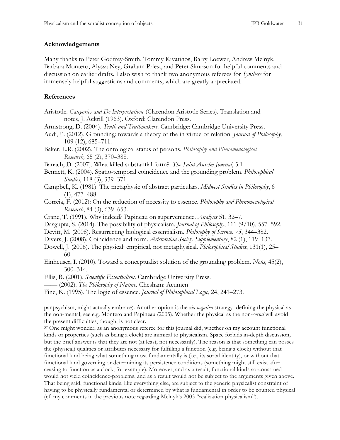### **Acknowledgements**

Many thanks to Peter Godfrey-Smith, Tommy Kivatinos, Barry Loewer, Andrew Melnyk, Barbara Montero, Alyssa Ney, Graham Priest, and Peter Simpson for helpful comments and discussion on earlier drafts. I also wish to thank two anonymous referees for *Synthese* for immensely helpful suggestions and comments, which are greatly appreciated.

### **References**

- Aristotle. *Categories and De Interpretatione* (Clarendon Aristotle Series). Translation and notes, J. Ackrill (1963). Oxford: Clarendon Press.
- Armstrong, D. (2004). *Truth and Truthmakers*. Cambridge: Cambridge University Press.
- Audi, P. (2012). Grounding: towards a theory of the in-virtue-of relation. *Journal of Philosophy,* 109 (12), 685–711.
- Baker, L.R. (2002). The ontological status of persons. *Philosophy and Phenomenological Research,* 65 (2), 370–388.
- Banach, D. (2007). What killed substantial form?. *The Saint Anselm Journal*, 5.1
- Bennett, K. (2004). Spatio-temporal coincidence and the grounding problem. *Philosophical Studies*, 118 (3), 339–371.
- Campbell, K. (1981). The metaphysic of abstract particulars. *Midwest Studies in Philosophy*, 6 (1), 477–488.
- Correia, F. (2012): On the reduction of necessity to essence. *Philosophy and Phenomenological Research*, 84 (3), 639–653.
- Crane, T. (1991). Why indeed? Papineau on supervenience. *Analysis* 51, 32–7.
- Dasgupta, S. (2014). The possibility of physicalism. *Journal of Philosophy*, 111 (9/10), 557–592.
- Devitt, M. (2008). Resurrecting biological essentialism. *Philosophy of Science*, *75*, 344–382.
- Divers, J. (2008). Coincidence and form. *Aristotelian Society Supplementary*, 82 (1), 119–137.
- Dowell, J. (2006). The physical: empirical, not metaphysical. *Philosophical Studies*, 131(1), 25– 60.
- Einheuser, I. (2010). Toward a conceptualist solution of the grounding problem. *Noûs,* 45(2), 300–314.
- Ellis, B. (2001). *Scientific Essentialism*. Cambridge University Press.
- —— (2002). *The Philosophy of Nature*. Chesham: Acumen
- Fine, K. (1995). The logic of essence. *Journal of Philosophical Logic*, 24, 241–273.

<u> 1989 - Andrea Santa Andrea Andrea Andrea Andrea Andrea Andrea Andrea Andrea Andrea Andrea Andrea Andrea Andr</u>

panpsychism, might actually embrace). Another option is the *via negativa* strategy- defining the physical as the non-mental; see e.g. Montero and Papineau (2005). Whether the physical as the non-*sortal* will avoid the present difficulties, though, is not clear.

<sup>37</sup> One might wonder, as an anonymous referee for this journal did, whether on my account functional kinds or properties (such as being a clock) are inimical to physicalism. Space forbids in-depth discussion, but the brief answer is that they are not (at least, not necessarily). The reason is that something can posses the (physical) qualities or attributes necessary for fulfilling a function (e.g. being a clock) without that functional kind being what something most fundamentally is (i.e., its sortal identity), or without that functional kind governing or determining its persistence conditions (something might still exist after ceasing to function as a clock, for example). Moreover, and as a result, functional kinds so-construed would not yield coincidence-problems, and as a result would not be subject to the arguments given above. That being said, functional kinds, like everything else, are subject to the generic physicalist constraint of having to be physically fundamental or determined by what is fundamental in order to be counted physical (cf. my comments in the previous note regarding Melnyk's 2003 "realization physicalism").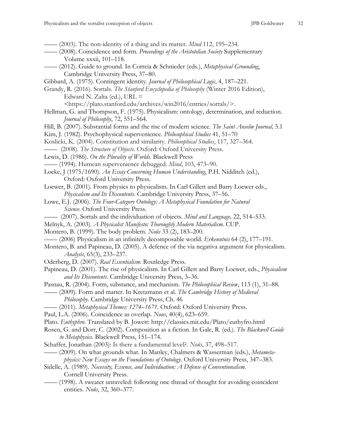- —— (2003). The non-identity of a thing and its matter. *Mind* 112, 195–234.
- —— (2008). Coincidence and form. *Proceedings of the Aristotelian Society* Supplementary Volume xxxii, 101–118.
- —— (2012). Guide to ground. In Correia & Schnieder (eds.), *Metaphysical Grounding*, Cambridge University Press, 37–80.
- Gibbard, A. (1975). Contingent identity. *Journal of Philosophical Logic*, 4, 187–221.
- Grandy, R. (2016). Sortals. *The Stanford Encyclopedia of Philosophy* (Winter 2016 Edition), Edward N. Zalta (ed.), URL  $=$ 
	- <https://plato.stanford.edu/archives/win2016/entries/sortals/>.
- Hellman, G. and Thompson, F. (1975). Physicalism: ontology, determination, and reduction. *Journal of Philosophy*, 72, 551–564.
- Hill, B. (2007). Substantial forms and the rise of modern science. *The Saint Anselm Journal,* 5.1
- Kim, J. (1982). Psychophysical supervenience. *Philosophical Studies* 41, 51–70
- Koslicki, K. (2004). Constitution and similarity. *Philosophical Studies*, 117, 327–364.
- —— (2008). *The Structure of Objects*. Oxford: Oxford University Press.
- Lewis, D. (1986). *On the Plurality of Worlds*. Blackwell Press
- —— (1994). Humean supervenience debugged. *Mind*, 103, 473–90.
- Locke, J (1975/1690). *An Essay Concerning Human Understanding*, P.H. Nidditch (ed.), Oxford: Oxford University Press.
- Loewer, B. (2001). From physics to physicalism. In Carl Gillett and Barry Loewer eds., *Physicalism and Its Discontents*. Cambridge University Press, 37–56.
- Lowe, E.J. (2006). *The Four-Category Ontology: A Metaphysical Foundation for Natural Science*. Oxford University Press.
- —— (2007). Sortals and the individuation of objects. *Mind and Language,* 22, 514–533.
- Melnyk, A. (2003). *A Physicalist Manifesto: Thoroughly Modern Materialism*. CUP.
- Montero, B. (1999). The body problem. *Noûs* 33 (2), 183–200.
- —— (2006) Physicalism in an infinitely decomposable world. *Erkenntnis* 64 (2), 177–191.
- Montero, B. and Papineau, D. (2005). A defence of the via negativa argument for physicalism. *Analysis*, 65(3), 233–237.
- Oderberg, D. (2007). *Real Essentialism*. Routledge Press.
- Papineau, D. (2001). The rise of physicalism. In Carl Gillett and Barry Loewer, eds., *Physicalism and Its Discontents*. Cambridge University Press, 3–36.
- Pasnau, R. (2004). Form, substance, and mechanism. *The Philosophical Review*, 113 (1), 31–88. —— (2009). Form and matter. In Kretzmann et al. *The Cambridge History of Medieval* 
	- *Philosophy*. Cambridge University Press, Ch. 46
- —— (2011). *Metaphysical Themes: 1274–1671*. Oxford: Oxford University Press.
- Paul, L.A. (2006). Coincidence as overlap. *Nous*, 40(4), 623–659.
- Plato. *Euthyphro*. Translated by B. Jowett: http://classics.mit.edu/Plato/euthyfro.html
- Rosen, G. and Dorr, C. (2002). Composition as a fiction. In Gale, R. (ed.). *The Blackwell Guide to Metaphysics*. Blackwell Press, 151–174.
- Schaffer, Jonathan (2003): Is there a fundamental level?. *Noûs*, 37, 498–517.
- —— (2009). On what grounds what. In Manley, Chalmers & Wasserman (eds.), *Metametaphysics: New Essays on the Foundations of Ontology*. Oxford University Press, 347–383.
- Sidelle, A. (1989). *Necessity, Essence, and Individuation: A Defense of Conventionalism*. Cornell University Press.
- —— (1998). A sweater unraveled: following one thread of thought for avoiding coincident entities. *Noûs*, 32, 360–377.